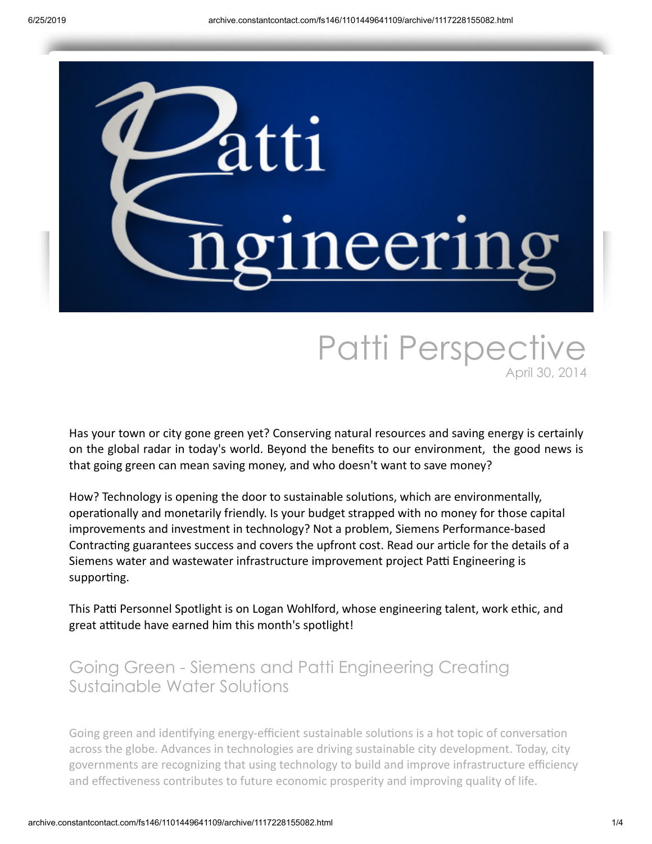

# Patti Perspective April 30, 2014

Has your town or city gone green yet? Conserving natural resources and saving energy is certainly on the global radar in today's world. Beyond the benefits to our environment, the good news is that going green can mean saving money, and who doesn't want to save money?

How? Technology is opening the door to sustainable solutions, which are environmentally, operationally and monetarily friendly. Is your budget strapped with no money for those capital improvements and investment in technology? Not a problem, Siemens Performance-based Contracting guarantees success and covers the upfront cost. Read our article for the details of a Siemens water and wastewater infrastructure improvement project Patti Engineering is supporting.

This Patti Personnel Spotlight is on Logan Wohlford, whose engineering talent, work ethic, and great attitude have earned him this month's spotlight!

### Going Green - Siemens and Patti Engineering Creating Sustainable Water Solutions

Going green and identifying energy-efficient sustainable solutions is a hot topic of conversation across the globe. Advances in technologies are driving sustainable city development. Today, city governments are recognizing that using technology to build and improve infrastructure efficiency and effectiveness contributes to future economic prosperity and improving quality of life.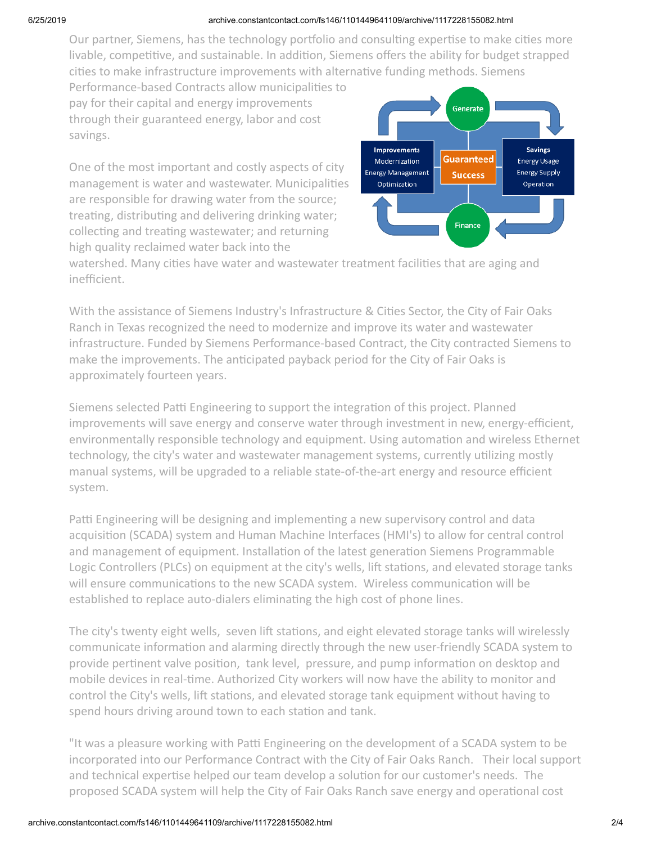#### 6/25/2019 archive.constantcontact.com/fs146/1101449641109/archive/1117228155082.html

Our partner, Siemens, has the technology portfolio and consulting expertise to make cities more livable, competitive, and sustainable. In addition, Siemens offers the ability for budget strapped cities to make infrastructure improvements with alternative funding methods. Siemens

Performance-based Contracts allow municipalities to pay for their capital and energy improvements through their guaranteed energy, labor and cost savings.

One of the most important and costly aspects of city management is water and wastewater. Municipalities are responsible for drawing water from the source; treating, distributing and delivering drinking water; collecting and treating wastewater; and returning high quality reclaimed water back into the



watershed. Many cities have water and wastewater treatment facilities that are aging and inefficient.

With the assistance of Siemens Industry's Infrastructure & Cities Sector, the City of Fair Oaks Ranch in Texas recognized the need to modernize and improve its water and wastewater infrastructure. Funded by Siemens Performance-based Contract, the City contracted Siemens to make the improvements. The anticipated payback period for the City of Fair Oaks is approximately fourteen years.

Siemens selected Patti Engineering to support the integration of this project. Planned improvements will save energy and conserve water through investment in new, energy-efficient, environmentally responsible technology and equipment. Using automation and wireless Ethernet technology, the city's water and wastewater management systems, currently utilizing mostly manual systems, will be upgraded to a reliable state-of-the-art energy and resource efficient system.

Patti Engineering will be designing and implementing a new supervisory control and data acquisition (SCADA) system and Human Machine Interfaces (HMI's) to allow for central control and management of equipment. Installation of the latest generation Siemens Programmable Logic Controllers (PLCs) on equipment at the city's wells, lift stations, and elevated storage tanks will ensure communications to the new SCADA system. Wireless communication will be established to replace auto-dialers eliminating the high cost of phone lines.

The city's twenty eight wells, seven lift stations, and eight elevated storage tanks will wirelessly communicate information and alarming directly through the new user-friendly SCADA system to provide pertinent valve position, tank level, pressure, and pump information on desktop and mobile devices in real-time. Authorized City workers will now have the ability to monitor and control the City's wells, lift stations, and elevated storage tank equipment without having to spend hours driving around town to each station and tank.

"It was a pleasure working with Patti Engineering on the development of a SCADA system to be incorporated into our Performance Contract with the City of Fair Oaks Ranch. Their local support and technical expertise helped our team develop a solution for our customer's needs. The proposed SCADA system will help the City of Fair Oaks Ranch save energy and operational cost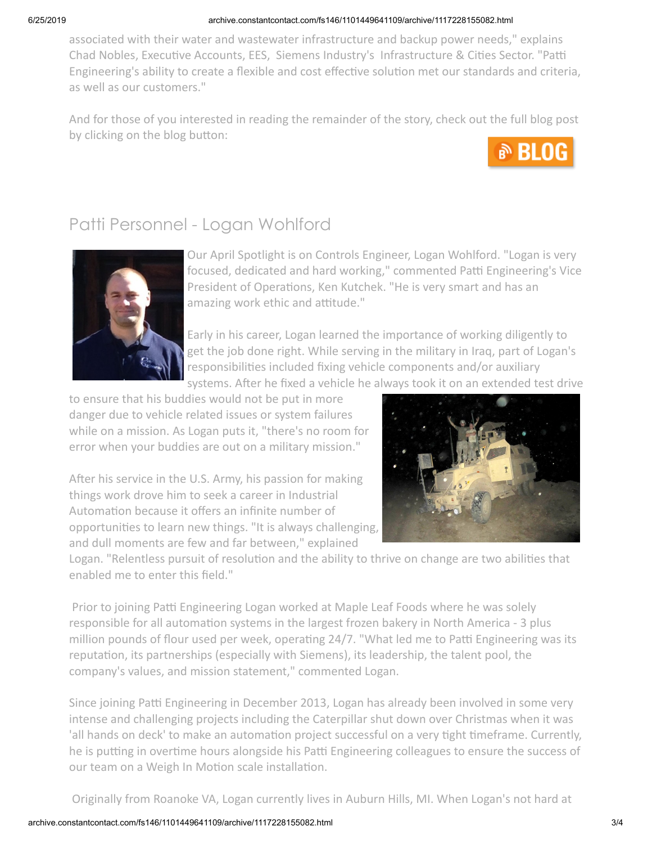### 6/25/2019 archive.constantcontact.com/fs146/1101449641109/archive/1117228155082.html

associated with their water and wastewater infrastructure and backup power needs," explains Chad Nobles, Executive Accounts, EES, Siemens Industry's Infrastructure & Cities Sector. "Patti Engineering's ability to create a flexible and cost effective solution met our standards and criteria, as well as our customers."

And for those of you interested in reading the remainder of the story, check out the full blog post by clicking on the blog button:



## Patti Personnel - Logan Wohlford



Our April Spotlight is on Controls Engineer, Logan Wohlford. "Logan is very focused, dedicated and hard working," commented Patti Engineering's Vice President of Operations, Ken Kutchek. "He is very smart and has an amazing work ethic and attitude."

Early in his career, Logan learned the importance of working diligently to get the job done right. While serving in the military in Iraq, part of Logan's responsibilities included fixing vehicle components and/or auxiliary systems. After he fixed a vehicle he always took it on an extended test drive

to ensure that his buddies would not be put in more danger due to vehicle related issues or system failures while on a mission. As Logan puts it, "there's no room for error when your buddies are out on a military mission."

After his service in the U.S. Army, his passion for making things work drove him to seek a career in Industrial Automation because it offers an infinite number of opportunities to learn new things. "It is always challenging, and dull moments are few and far between," explained



Logan. "Relentless pursuit of resolution and the ability to thrive on change are two abilities that enabled me to enter this field."

Prior to joining Patti Engineering Logan worked at Maple Leaf Foods where he was solely responsible for all automation systems in the largest frozen bakery in North America - 3 plus million pounds of flour used per week, operating 24/7. "What led me to Patti Engineering was its reputation, its partnerships (especially with Siemens), its leadership, the talent pool, the company's values, and mission statement," commented Logan.

Since joining Patti Engineering in December 2013, Logan has already been involved in some very intense and challenging projects including the Caterpillar shut down over Christmas when it was 'all hands on deck' to make an automation project successful on a very tight timeframe. Currently, he is putting in overtime hours alongside his Patti Engineering colleagues to ensure the success of our team on a Weigh In Motion scale installation.

Originally from Roanoke VA, Logan currently lives in Auburn Hills, MI. When Logan's not hard at